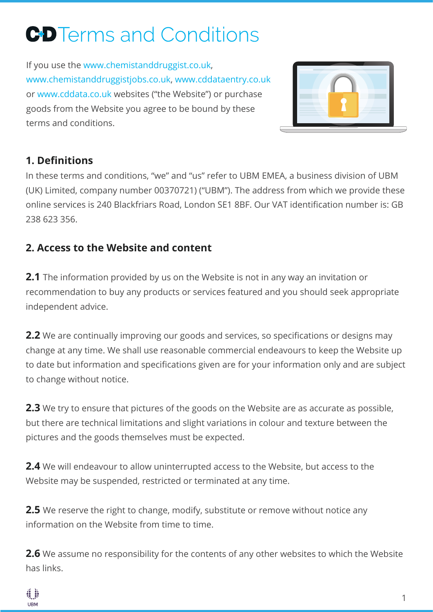# **C-D Terms and Conditions**

If you use the [www.chemistanddruggist.co.uk](http://www.chemistanddruggist.co.uk), [www.chemistanddruggistjobs.co.uk,](http://www.chemistanddruggistjobs.co.uk) [www.cddataentry.co.uk](http://www.cddataentry.co.uk) or [www.cddata.co.uk](http://www.cddata.co.uk) websites ("the Website") or purchase goods from the Website you agree to be bound by these terms and conditions.



# **1. Definitions**

In these terms and conditions, "we" and "us" refer to UBM EMEA, a business division of UBM (UK) Limited, company number 00370721) ("UBM"). The address from which we provide these online services is 240 Blackfriars Road, London SE1 8BF. Our VAT identification number is: GB 238 623 356.

# **2. Access to the Website and content**

**2.1** The information provided by us on the Website is not in any way an invitation or recommendation to buy any products or services featured and you should seek appropriate independent advice.

**2.2** We are continually improving our goods and services, so specifications or designs may change at any time. We shall use reasonable commercial endeavours to keep the Website up to date but information and specifications given are for your information only and are subject to change without notice.

**2.3** We try to ensure that pictures of the goods on the Website are as accurate as possible, but there are technical limitations and slight variations in colour and texture between the pictures and the goods themselves must be expected.

**2.4** We will endeavour to allow uninterrupted access to the Website, but access to the Website may be suspended, restricted or terminated at any time.

**2.5** We reserve the right to change, modify, substitute or remove without notice any information on the Website from time to time.

**2.6** We assume no responsibility for the contents of any other websites to which the Website has links.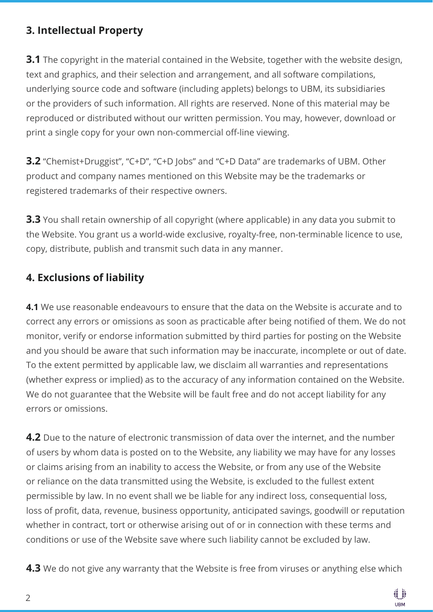#### **3. Intellectual Property**

**3.1** The copyright in the material contained in the Website, together with the website design, text and graphics, and their selection and arrangement, and all software compilations, underlying source code and software (including applets) belongs to UBM, its subsidiaries or the providers of such information. All rights are reserved. None of this material may be reproduced or distributed without our written permission. You may, however, download or print a single copy for your own non-commercial off-line viewing.

**3.2** "Chemist+Druggist", "C+D", "C+D Jobs" and "C+D Data" are trademarks of UBM. Other product and company names mentioned on this Website may be the trademarks or registered trademarks of their respective owners.

**3.3** You shall retain ownership of all copyright (where applicable) in any data you submit to the Website. You grant us a world-wide exclusive, royalty-free, non-terminable licence to use, copy, distribute, publish and transmit such data in any manner.

# **4. Exclusions of liability**

**4.1** We use reasonable endeavours to ensure that the data on the Website is accurate and to correct any errors or omissions as soon as practicable after being notified of them. We do not monitor, verify or endorse information submitted by third parties for posting on the Website and you should be aware that such information may be inaccurate, incomplete or out of date. To the extent permitted by applicable law, we disclaim all warranties and representations (whether express or implied) as to the accuracy of any information contained on the Website. We do not guarantee that the Website will be fault free and do not accept liability for any errors or omissions.

**4.2** Due to the nature of electronic transmission of data over the internet, and the number of users by whom data is posted on to the Website, any liability we may have for any losses or claims arising from an inability to access the Website, or from any use of the Website or reliance on the data transmitted using the Website, is excluded to the fullest extent permissible by law. In no event shall we be liable for any indirect loss, consequential loss, loss of profit, data, revenue, business opportunity, anticipated savings, goodwill or reputation whether in contract, tort or otherwise arising out of or in connection with these terms and conditions or use of the Website save where such liability cannot be excluded by law.

**4.3** We do not give any warranty that the Website is free from viruses or anything else which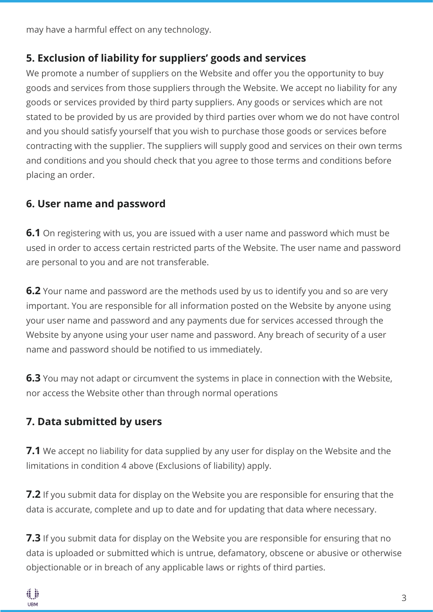may have a harmful effect on any technology.

# **5. Exclusion of liability for suppliers' goods and services**

We promote a number of suppliers on the Website and offer you the opportunity to buy goods and services from those suppliers through the Website. We accept no liability for any goods or services provided by third party suppliers. Any goods or services which are not stated to be provided by us are provided by third parties over whom we do not have control and you should satisfy yourself that you wish to purchase those goods or services before contracting with the supplier. The suppliers will supply good and services on their own terms and conditions and you should check that you agree to those terms and conditions before placing an order.

# **6. User name and password**

**6.1** On registering with us, you are issued with a user name and password which must be used in order to access certain restricted parts of the Website. The user name and password are personal to you and are not transferable.

**6.2** Your name and password are the methods used by us to identify you and so are very important. You are responsible for all information posted on the Website by anyone using your user name and password and any payments due for services accessed through the Website by anyone using your user name and password. Any breach of security of a user name and password should be notified to us immediately.

**6.3** You may not adapt or circumvent the systems in place in connection with the Website, nor access the Website other than through normal operations

# **7. Data submitted by users**

**7.1** We accept no liability for data supplied by any user for display on the Website and the limitations in condition 4 above (Exclusions of liability) apply.

**7.2** If you submit data for display on the Website you are responsible for ensuring that the data is accurate, complete and up to date and for updating that data where necessary.

**7.3** If you submit data for display on the Website you are responsible for ensuring that no data is uploaded or submitted which is untrue, defamatory, obscene or abusive or otherwise objectionable or in breach of any applicable laws or rights of third parties.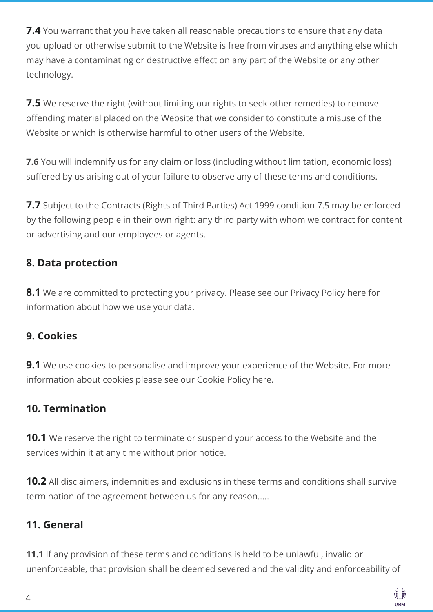**7.4** You warrant that you have taken all reasonable precautions to ensure that any data you upload or otherwise submit to the Website is free from viruses and anything else which may have a contaminating or destructive effect on any part of the Website or any other technology.

**7.5** We reserve the right (without limiting our rights to seek other remedies) to remove offending material placed on the Website that we consider to constitute a misuse of the Website or which is otherwise harmful to other users of the Website.

**7.6** You will indemnify us for any claim or loss (including without limitation, economic loss) suffered by us arising out of your failure to observe any of these terms and conditions.

**7.7** Subject to the Contracts (Rights of Third Parties) Act 1999 condition 7.5 may be enforced by the following people in their own right: any third party with whom we contract for content or advertising and our employees or agents.

#### **8. Data protection**

**8.1** We are committed to protecting your privacy. Please see our Privacy Policy here for information about how we use your data.

#### **9. Cookies**

**9.1** We use cookies to personalise and improve your experience of the Website. For more information about cookies please see our Cookie Policy here.

# **10. Termination**

**10.1** We reserve the right to terminate or suspend your access to the Website and the services within it at any time without prior notice.

**10.2** All disclaimers, indemnities and exclusions in these terms and conditions shall survive termination of the agreement between us for any reason.....

# **11. General**

**11.1** If any provision of these terms and conditions is held to be unlawful, invalid or unenforceable, that provision shall be deemed severed and the validity and enforceability of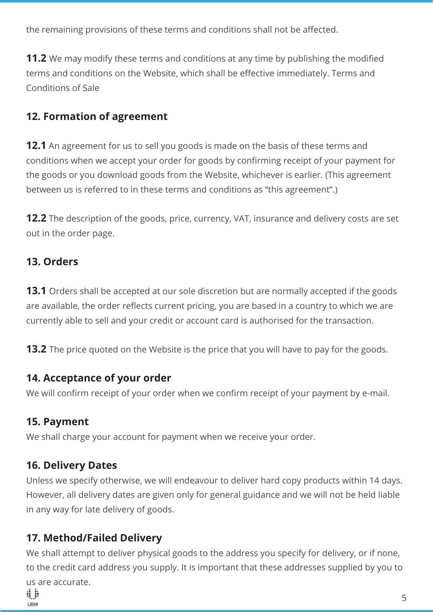the remaining provisions of these terms and conditions shall not be affected.

**11.2** We may modify these terms and conditions at any time by publishing the modified terms and conditions on the Website, which shall be effective immediately. Terms and Conditions of Sale

# **12. Formation of agreement**

**12.1** An agreement for us to sell you goods is made on the basis of these terms and conditions when we accept your order for goods by confirming receipt of your payment for the goods or you download goods from the Website, whichever is earlier. (This agreement between us is referred to in these terms and conditions as "this agreement".)

**12.2** The description of the goods, price, currency, VAT, insurance and delivery costs are set out in the order page.

#### **13. Orders**

**13.1** Orders shall be accepted at our sole discretion but are normally accepted if the goods are available, the order reflects current pricing, you are based in a country to which we are currently able to sell and your credit or account card is authorised for the transaction.

**13.2** The price quoted on the Website is the price that you will have to pay for the goods.

#### **14. Acceptance of your order**

We will confirm receipt of your order when we confirm receipt of your payment by e-mail.

#### **15. Payment**

We shall charge your account for payment when we receive your order.

#### **16. Delivery Dates**

Unless we specify otherwise, we will endeavour to deliver hard copy products within 14 days. However, all delivery dates are given only for general guidance and we will not be held liable in any way for late delivery of goods.

# **17. Method/Failed Delivery**

We shall attempt to deliver physical goods to the address you specify for delivery, or if none, to the credit card address you supply. It is important that these addresses supplied by you to

us are accurate.

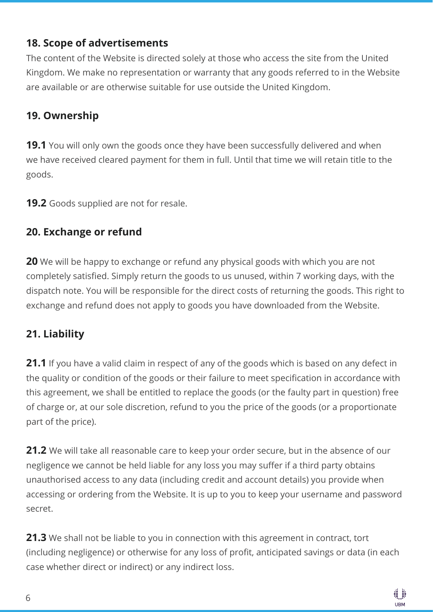#### **18. Scope of advertisements**

The content of the Website is directed solely at those who access the site from the United Kingdom. We make no representation or warranty that any goods referred to in the Website are available or are otherwise suitable for use outside the United Kingdom.

### **19. Ownership**

**19.1** You will only own the goods once they have been successfully delivered and when we have received cleared payment for them in full. Until that time we will retain title to the goods.

**19.2** Goods supplied are not for resale.

#### **20. Exchange or refund**

**20** We will be happy to exchange or refund any physical goods with which you are not completely satisfied. Simply return the goods to us unused, within 7 working days, with the dispatch note. You will be responsible for the direct costs of returning the goods. This right to exchange and refund does not apply to goods you have downloaded from the Website.

# **21. Liability**

**21.1** If you have a valid claim in respect of any of the goods which is based on any defect in the quality or condition of the goods or their failure to meet specification in accordance with this agreement, we shall be entitled to replace the goods (or the faulty part in question) free of charge or, at our sole discretion, refund to you the price of the goods (or a proportionate part of the price).

**21.2** We will take all reasonable care to keep your order secure, but in the absence of our negligence we cannot be held liable for any loss you may suffer if a third party obtains unauthorised access to any data (including credit and account details) you provide when accessing or ordering from the Website. It is up to you to keep your username and password secret.

**21.3** We shall not be liable to you in connection with this agreement in contract, tort (including negligence) or otherwise for any loss of profit, anticipated savings or data (in each case whether direct or indirect) or any indirect loss.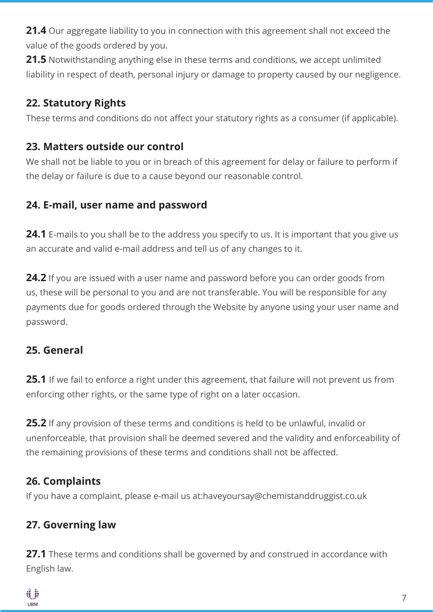**21.4** Our aggregate liability to you in connection with this agreement shall not exceed the value of the goods ordered by you.

**21.5** Notwithstanding anything else in these terms and conditions, we accept unlimited liability in respect of death, personal injury or damage to property caused by our negligence.

# **22. Statutory Rights**

These terms and conditions do not affect your statutory rights as a consumer (if applicable).

#### **23. Matters outside our control**

We shall not be liable to you or in breach of this agreement for delay or failure to perform if the delay or failure is due to a cause beyond our reasonable control.

#### **24. E-mail, user name and password**

**24.1** E-mails to you shall be to the address you specify to us. It is important that you give us an accurate and valid e-mail address and tell us of any changes to it.

**24.2** If you are issued with a user name and password before you can order goods from us, these will be personal to you and are not transferable. You will be responsible for any payments due for goods ordered through the Website by anyone using your user name and password.

#### **25. General**

**25.1** If we fail to enforce a right under this agreement, that failure will not prevent us from enforcing other rights, or the same type of right on a later occasion.

**25.2** If any provision of these terms and conditions is held to be unlawful, invalid or unenforceable, that provision shall be deemed severed and the validity and enforceability of the remaining provisions of these terms and conditions shall not be affected.

# **26. Complaints**

If you have a complaint, please e-mail us at:haveyoursay@chemistanddruggist.co.uk

# **27. Governing law**

**27.1** These terms and conditions shall be governed by and construed in accordance with English law.